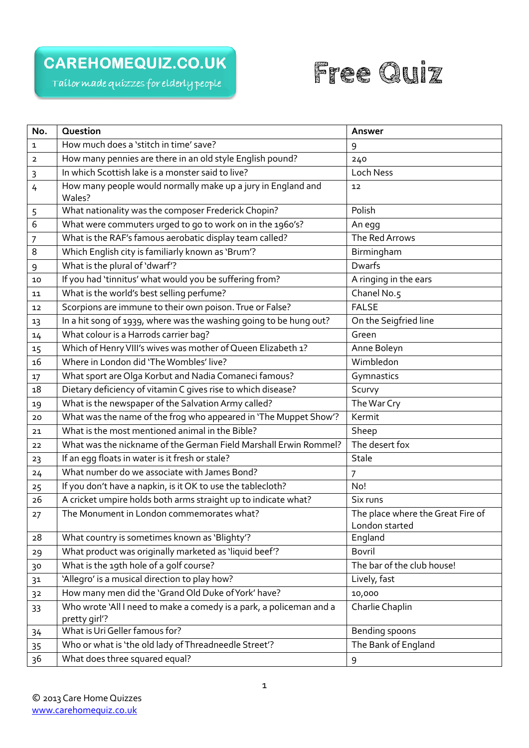## **CAREHOMEQUIZ.CO.UK**

Tailor made quizzes for elderly people

## **Free Quiz**

| No.                     | Question                                                                             | Answer                                              |
|-------------------------|--------------------------------------------------------------------------------------|-----------------------------------------------------|
| $\mathbf{1}$            | How much does a 'stitch in time' save?                                               | 9                                                   |
| $\overline{\mathbf{2}}$ | How many pennies are there in an old style English pound?                            | 240                                                 |
| 3                       | In which Scottish lake is a monster said to live?                                    | Loch Ness                                           |
| $\overline{4}$          | How many people would normally make up a jury in England and<br>Wales?               | 12                                                  |
| 5                       | What nationality was the composer Frederick Chopin?                                  | Polish                                              |
| 6                       | What were commuters urged to go to work on in the 1960's?                            | An egg                                              |
| 7                       | What is the RAF's famous aerobatic display team called?                              | The Red Arrows                                      |
| 8                       | Which English city is familiarly known as 'Brum'?                                    | Birmingham                                          |
| 9                       | What is the plural of 'dwarf'?                                                       | Dwarfs                                              |
| 10                      | If you had 'tinnitus' what would you be suffering from?                              | A ringing in the ears                               |
| 11                      | What is the world's best selling perfume?                                            | Chanel No.5                                         |
| 12                      | Scorpions are immune to their own poison. True or False?                             | <b>FALSE</b>                                        |
| 13                      | In a hit song of 1939, where was the washing going to be hung out?                   | On the Seigfried line                               |
| 14                      | What colour is a Harrods carrier bag?                                                | Green                                               |
| 15                      | Which of Henry VIII's wives was mother of Queen Elizabeth 1?                         | Anne Boleyn                                         |
| 16                      | Where in London did 'The Wombles' live?                                              | Wimbledon                                           |
| 17                      | What sport are Olga Korbut and Nadia Comaneci famous?                                | Gymnastics                                          |
| 18                      | Dietary deficiency of vitamin C gives rise to which disease?                         | Scurvy                                              |
| 19                      | What is the newspaper of the Salvation Army called?                                  | The War Cry                                         |
| 20                      | What was the name of the frog who appeared in 'The Muppet Show'?                     | Kermit                                              |
| ${\bf 21}$              | What is the most mentioned animal in the Bible?                                      | Sheep                                               |
| 22                      | What was the nickname of the German Field Marshall Erwin Rommel?                     | The desert fox                                      |
| 23                      | If an egg floats in water is it fresh or stale?                                      | <b>Stale</b>                                        |
| 24                      | What number do we associate with James Bond?                                         | 7                                                   |
| 25                      | If you don't have a napkin, is it OK to use the tablecloth?                          | No!                                                 |
| 26                      | A cricket umpire holds both arms straight up to indicate what?                       | Six runs                                            |
| 27                      | The Monument in London commemorates what?                                            | The place where the Great Fire of<br>London started |
| 28                      | What country is sometimes known as 'Blighty'?                                        | England                                             |
| 29                      | What product was originally marketed as 'liquid beef'?                               | Bovril                                              |
| 30                      | What is the 19th hole of a golf course?                                              | The bar of the club house!                          |
| 31                      | 'Allegro' is a musical direction to play how?                                        | Lively, fast                                        |
| 32                      | How many men did the 'Grand Old Duke of York' have?                                  | 10,000                                              |
| 33                      | Who wrote 'All I need to make a comedy is a park, a policeman and a<br>pretty girl'? | Charlie Chaplin                                     |
| 34                      | What is Uri Geller famous for?                                                       | Bending spoons                                      |
| 35                      | Who or what is 'the old lady of Threadneedle Street'?                                | The Bank of England                                 |
| 36                      | What does three squared equal?                                                       | 9                                                   |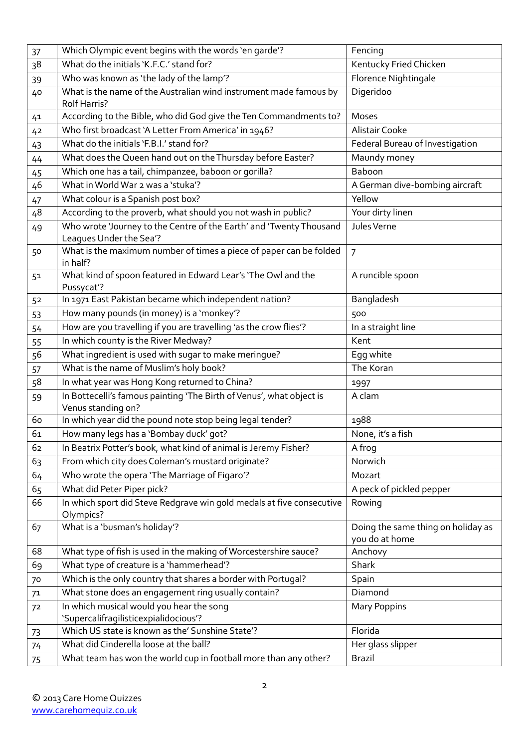|          | Which Olympic event begins with the words 'en garde'?                                          | Fencing                                              |
|----------|------------------------------------------------------------------------------------------------|------------------------------------------------------|
| 37<br>38 | What do the initials 'K.F.C.' stand for?                                                       | Kentucky Fried Chicken                               |
| 39       | Who was known as 'the lady of the lamp'?                                                       | Florence Nightingale                                 |
| 40       | What is the name of the Australian wind instrument made famous by<br><b>Rolf Harris?</b>       | Digeridoo                                            |
| 41       | According to the Bible, who did God give the Ten Commandments to?                              | Moses                                                |
| 42       | Who first broadcast 'A Letter From America' in 1946?                                           | Alistair Cooke                                       |
| 43       | What do the initials 'F.B.I.' stand for?                                                       | Federal Bureau of Investigation                      |
| 44       | What does the Queen hand out on the Thursday before Easter?                                    | Maundy money                                         |
| 45       | Which one has a tail, chimpanzee, baboon or gorilla?                                           | Baboon                                               |
| 46       | What in World War 2 was a 'stuka'?                                                             | A German dive-bombing aircraft                       |
| 47       | What colour is a Spanish post box?                                                             | Yellow                                               |
| 48       | According to the proverb, what should you not wash in public?                                  | Your dirty linen                                     |
| 49       | Who wrote 'Journey to the Centre of the Earth' and 'Twenty Thousand<br>Leagues Under the Sea'? | Jules Verne                                          |
| 50       | What is the maximum number of times a piece of paper can be folded<br>in half?                 | $\overline{7}$                                       |
| 51       | What kind of spoon featured in Edward Lear's 'The Owl and the<br>Pussycat'?                    | A runcible spoon                                     |
| 52       | In 1971 East Pakistan became which independent nation?                                         | Bangladesh                                           |
| 53       | How many pounds (in money) is a 'monkey'?                                                      | 500                                                  |
| 54       | How are you travelling if you are travelling 'as the crow flies'?                              | In a straight line                                   |
| 55       | In which county is the River Medway?                                                           | Kent                                                 |
| 56       | What ingredient is used with sugar to make meringue?                                           | Egg white                                            |
| 57       | What is the name of Muslim's holy book?                                                        | The Koran                                            |
| 58       | In what year was Hong Kong returned to China?                                                  | 1997                                                 |
| 59       | In Bottecelli's famous painting 'The Birth of Venus', what object is<br>Venus standing on?     | A clam                                               |
| 60       | In which year did the pound note stop being legal tender?                                      | 1988                                                 |
| 61       | How many legs has a 'Bombay duck' got?                                                         | None, it's a fish                                    |
| 62       | In Beatrix Potter's book, what kind of animal is Jeremy Fisher?                                | A frog                                               |
| 63       | From which city does Coleman's mustard originate?                                              | Norwich                                              |
| 64       | Who wrote the opera 'The Marriage of Figaro'?                                                  | Mozart                                               |
| 65       | What did Peter Piper pick?                                                                     | A peck of pickled pepper                             |
| 66       | In which sport did Steve Redgrave win gold medals at five consecutive<br>Olympics?             | Rowing                                               |
| 67       | What is a 'busman's holiday'?                                                                  | Doing the same thing on holiday as<br>you do at home |
| 68       | What type of fish is used in the making of Worcestershire sauce?                               | Anchovy                                              |
| 69       | What type of creature is a 'hammerhead'?                                                       | Shark                                                |
| 70       | Which is the only country that shares a border with Portugal?                                  | Spain                                                |
| 71       | What stone does an engagement ring usually contain?                                            | Diamond                                              |
| 72       | In which musical would you hear the song<br>'Supercalifragilisticexpialidocious'?              | <b>Mary Poppins</b>                                  |
| 73       | Which US state is known as the' Sunshine State'?                                               | Florida                                              |
| 74       | What did Cinderella loose at the ball?                                                         | Her glass slipper                                    |
| 75       | What team has won the world cup in football more than any other?                               | <b>Brazil</b>                                        |